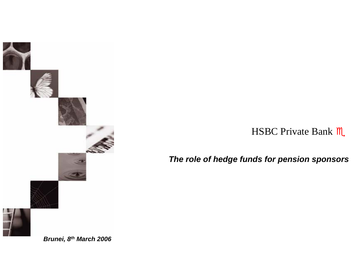

HSBC Private Bank  $M$ 

*The role of hedge funds for pension sponsors*

*Brunei, 8th March 2006*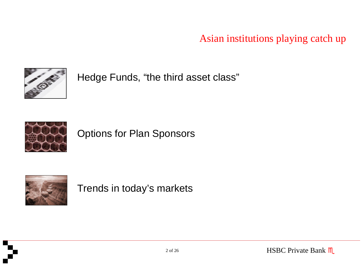Asian institutions playing catch up



Hedge Funds, "the third asset class"



Options for Plan Sponsors



Trends in today's markets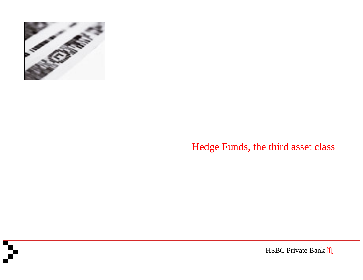

### Hedge Funds, the third asset class

HSBC Private Bank  $M$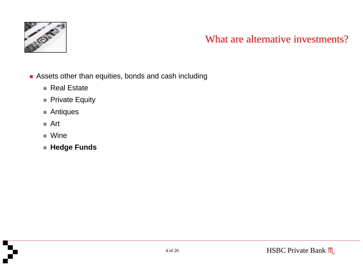

### What are alternative investments?

- Assets other than equities, bonds and cash including
	- $\blacksquare$  Real Estate
	- Private Equity
	- Antiques
	- Art
	- Wine
	- **Hedge Funds**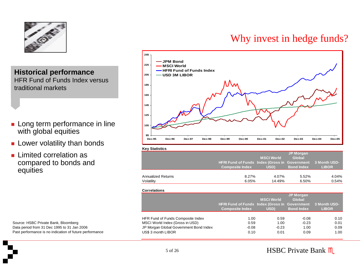

**of Fundal Example 2018 Historical performance USD 3M LIBOR** HFR Fund of Funds Index versus traditional markets

- **Long term performance in line** with global equities
- **Lower volatility than bonds**
- **Limited correlation as** compared to bonds and equities

Source: HSBC Private Bank, Bloomberg Data period from 31 Dec 1995 to 31 Jan 2006 Past performance is no indication of future performance

### Why invest in hedge funds?



#### **Key Statistics**

|                    | HFRI Fund of Funds Index (Gross in Government 3 Month USD-<br><b>Composite Index</b> | <b>MSCI World</b><br>USD) | <b>JP Morgan</b><br>Global<br><b>Bond Index</b> | <b>LIBOR</b> |
|--------------------|--------------------------------------------------------------------------------------|---------------------------|-------------------------------------------------|--------------|
| Annualized Returns | 8.27%                                                                                | 4.07%                     | 5.52%                                           | 4.04%        |
| Volatility         | 6.05%                                                                                | 14.49%                    | 6.50%                                           | 0.54%        |

#### **Correlations**

|                                        | <b>HFRI Fund of Funds Index (Gross in Government</b><br><b>Composite Index</b> | <b>MSCI World</b><br>USD) | <b>JP Morgan</b><br>Global<br><b>Bond Index</b> | 3 Month USD-<br><b>LIBOR</b> |
|----------------------------------------|--------------------------------------------------------------------------------|---------------------------|-------------------------------------------------|------------------------------|
| HFR Fund of Funds Composite Index      | 1.00                                                                           | 0.59                      | $-0.08$                                         | 0.10                         |
| MSCI World Index (Gross in USD)        | 0.59                                                                           | 1.00                      | $-0.23$                                         | 0.01                         |
| JP Morgan Global Government Bond Index | $-0.08$                                                                        | $-0.23$                   | 1.00                                            | 0.09                         |
| US\$ 3 month LIBOR                     | 0.10                                                                           | 0.01                      | 0.09                                            | 1.00                         |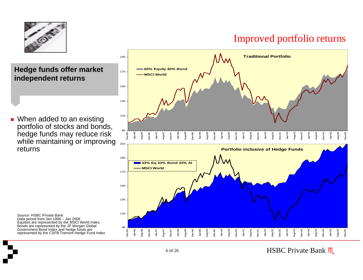

### Improved portfolio returns

**Hedge funds offer market independent returns**

■ When added to an existing portfolio of stocks and bonds, hedge funds may reduce risk while maintaining or improving returns

Source: HSBC Private Bank Data period from Jan 1996 – Jan 2006 Equities are represented by the MSCI World Index, Bonds are represented by the JP Morgan Global Government Bond Index and hedge funds are represented by the CSFB Tremont Hedge Fund Index

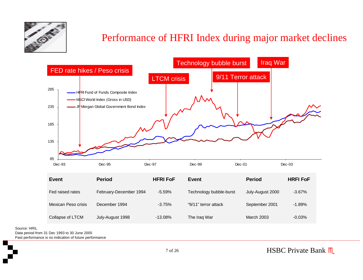

### Performance of HFRI Index during major market declines



Fed raised rates February-D ecember 1994 -5.59%Technology bubble-burst July-August 2000 -3.67% Mexican Peso crisisDecember 1994 -3.75% "9/11" t error attack September 2 0 01 -1.89%Collapse of L TCMJuly-August 1998  $-13.08%$  The Ir aq W ar March 2003-0.03%

Source: HRIL

Data period from 31 Dec 1993 to 30 June 2005

Past performance is no indication of future performance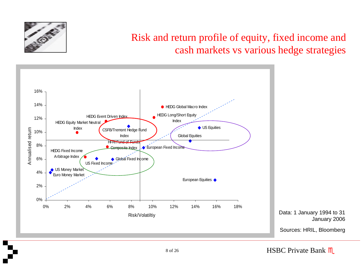

### Risk and return profile of equity, fixed income and cash markets vs various hedge strategies

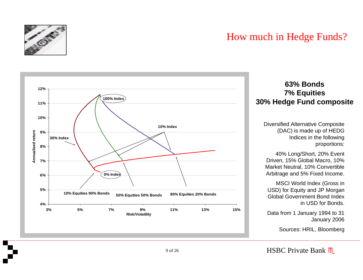

### How much in Hedge Funds?



#### **63% Bonds7% Equities 30% Hedge Fund composite**

Diversified Alternative Composite (DAC) is made up of HEDG Indices in the following proportions:

40% Long/Short, 20% Ev ent Drive n, 1 5% Glo b al Macro, 10% Market Neutral, 10% Convertible Arbitra g e a nd 5 % Fix ed Income.

MSCI World Ind e x (Gross in USD) for Equity a n d JP Morgan Global Government Bond Indexin USD for Bonds.

Data from 1 January 1994 to 31 Januar y 2006

Sources: HRIL, Bloomberg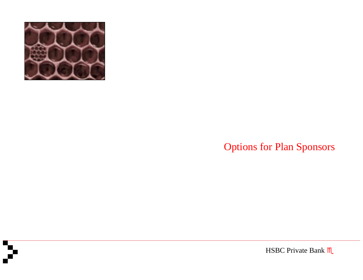

## Options for Plan Sponsors

HSBC Private Bank  $M$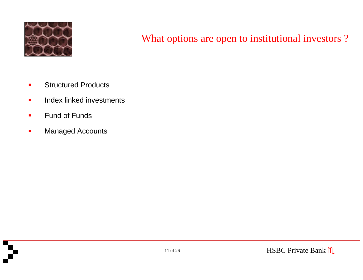

### What options are open to institutional investors?

- $\blacksquare$ **EXECUTED Structured Products**
- $\mathcal{L}_{\mathcal{A}}$ **IDED** Index linked investments
- $\blacksquare$ **Fund of Funds**
- $\blacksquare$ Managed Accounts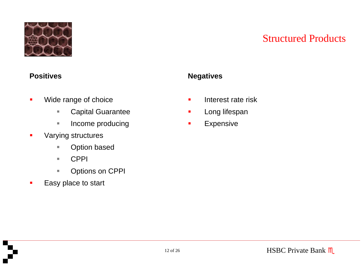

### Structured Products

#### **Positives**

- п Wide range of choice
	- $\overline{\phantom{a}}$ Capital Guarantee
	- $\mathcal{L}_{\mathcal{A}}$ Income producing
- $\blacksquare$  Varying structures
	- $\overline{\phantom{a}}$ Option based
	- $\mathcal{L}_{\mathcal{A}}$ CPPI
	- $\overline{\phantom{a}}$ Options on CPPI
- $\blacksquare$ Easy place to start

### **Negatives**

- L. Interest rate risk
- $\blacksquare$ Long lifespan
- п Expensive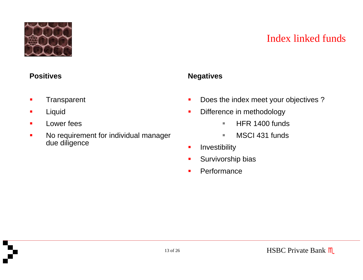

### Index linked funds

#### **Positives**

- $\blacksquare$ **Transparent**
- $\blacksquare$ Liquid
- $\blacksquare$ Lower fees
- $\blacksquare$  No requirement for individual manager due diligence

#### **Negatives**

- $\blacksquare$ Does the index meet your objectives ?
- $\blacksquare$  Difference in methodology
	- $\mathbf{u}$ HFR 1400 funds
	- $\mathbf{u}$ MSCI 431 funds
- $\blacksquare$ Investibility
- п Survivorship bias
- $\blacksquare$ **Performance**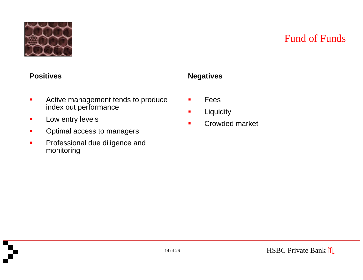

### Fund of Funds

#### **Positives**

- $\blacksquare$  Active management tends to produce index out performance
- $\mathcal{L}_{\mathcal{A}}$ Low entry levels
- $\blacksquare$ Optimal access to managers
- $\blacksquare$  Professional due diligence and monitoring

#### **Negatives**

- L. Fees
- $\blacksquare$ **Liquidity**
- Г Crowded market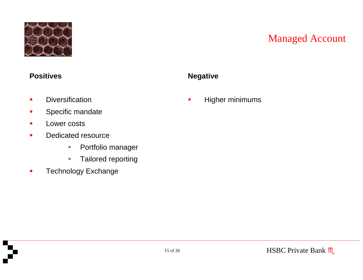

### Managed Account

#### **Positives**

- $\blacksquare$ **Diversification**
- $\blacksquare$ Specific mandate
- $\blacksquare$ **Lower costs**
- $\blacksquare$  Dedicated resource
	- $\overline{\phantom{a}}$ Portfolio manager
	- $\overline{\phantom{a}}$ Tailored reporting
- $\blacksquare$ Technology Exchange

#### **Negative**

L. Higher minimums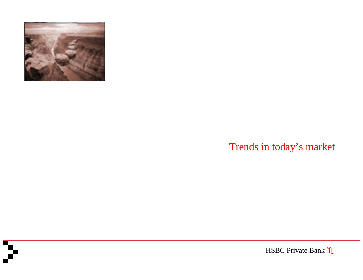

## Trends in today's market

HSBC Private Bank  $M$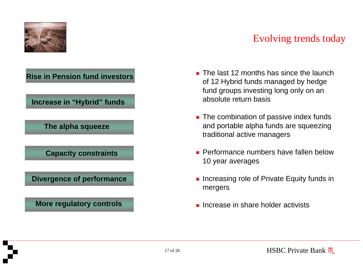

### Evolving trends today

#### **Rise in Pension fund investors**

**Increase in "Hybrid" funds**

**The alpha squeeze**

**Capacity constraints**

**Divergence of performance**

**More regulatory controls**

- **The last 12 months has since the launch** of 12 Hybrid funds managed by hedge fund groups investing long only on an absolute return basis
- The combination of passive index funds and portable alpha funds are squeezing traditional active managers
- **Performance numbers have fallen below** 10 year averages
- **Increasing role of Private Equity funds in** mergers
- **Increase in share holder activists**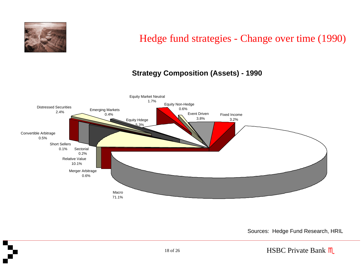

### Hedge fund strategies - Change over time (1990)

#### **Strategy Composition (Assets) - 1990**



Sources: Hedge Fund Research, HRIL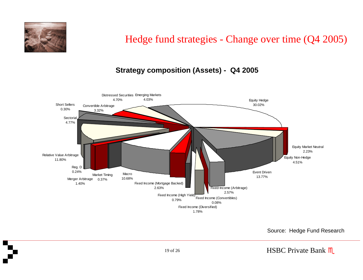

### Hedge fund strategies - Change over time (Q4 2005)

#### **Strategy composition (Assets) - Q4 2005**



Source: Hedge Fund Research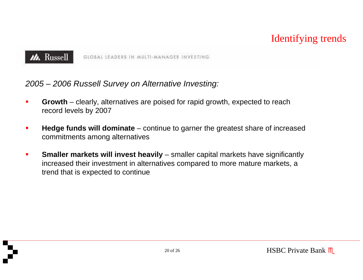### Identifying trends



GLOBAL LEADERS IN MULTI-MANAGER INVESTING

### *2005 – 2006 Russell Survey on Alternative Investing:*

- ш **Growth** – clearly, alternatives are poised for rapid growth, expected to reach record levels by 2007
- ш **Hedge funds will dominate** – continue to garner the greatest share of increased commitments among alternatives
- п **Smaller markets will invest heavily** – smaller capital markets have significantly increased their investment in alternatives compared to more mature markets, a trend that is expected to continue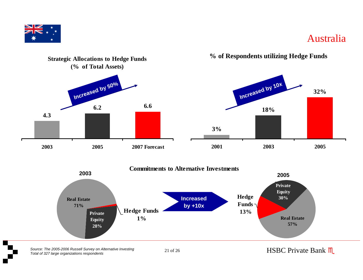

### Australia



*Sou r ce: The 2005 -2006 Ru sse ll Su rvey on A lternative Investing* 21 of 26*Tota l of 327 la rge organ izat ions responden t s*

21 of 26 HSBC Private Bank M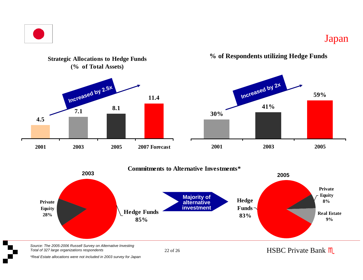

### Japan





*Source: The 2005-2006 Russell Survey on Alternative Investing Total of 327 large organizations respondents*

22 of 26

HSBC Private Bank  $M$ 

*\*Real Estate allocations were not included in 2003 survey for Japan*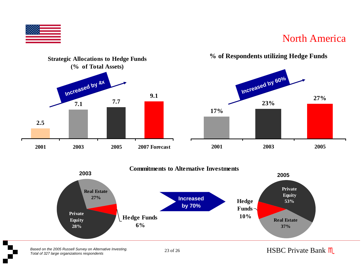

### North America



#### **% of Respondents utilizing Hedge Funds**





23 of 26 HSBC Private Bank M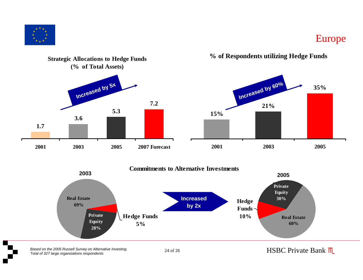

### Europe



**% of Respondents utilizing Hedge Funds**





*Ba sed on the 2005 R usse ll S ur v ey on A lterna tive Investing.* 24 of 26*Tota l of 327 la rge organ izat ion s re sponden ts*

24 of 26 HSBC Private Bank M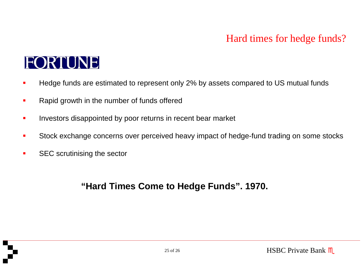### Hard times for hedge funds?

# **FORTUNE**

- П Hedge funds are estimated to represent only 2% by assets compared to US mutual funds
- П Rapid growth in the number of funds offered
- ▉ **EXEDENT Investors disappointed by poor returns in recent bear market**
- П Stock exchange concerns over perceived heavy impact of hedge-fund trading on some stocks
- п S E C scrutinising the sector

### **"Hard Times Come to Hedge Funds". 1970.**